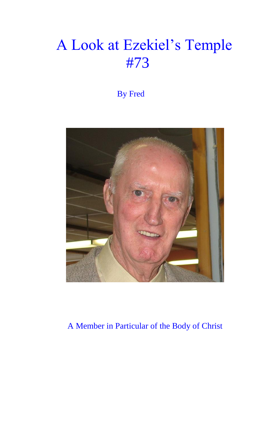## A Look at Ezekiel's Temple #73

By Fred



A Member in Particular of the Body of Christ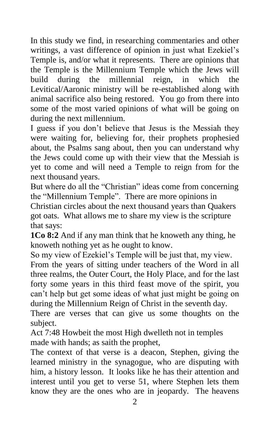In this study we find, in researching commentaries and other writings, a vast difference of opinion in just what Ezekiel's Temple is, and/or what it represents. There are opinions that the Temple is the Millennium Temple which the Jews will build during the millennial reign, in which the Levitical/Aaronic ministry will be re-established along with animal sacrifice also being restored. You go from there into some of the most varied opinions of what will be going on during the next millennium.

I guess if you don't believe that Jesus is the Messiah they were waiting for, believing for, their prophets prophesied about, the Psalms sang about, then you can understand why the Jews could come up with their view that the Messiah is yet to come and will need a Temple to reign from for the next thousand years.

But where do all the "Christian" ideas come from concerning the "Millennium Temple". There are more opinions in Christian circles about the next thousand years than Quakers got oats. What allows me to share my view is the scripture that says:

**1Co 8:2** And if any man think that he knoweth any thing, he knoweth nothing yet as he ought to know.

So my view of Ezekiel's Temple will be just that, my view.

From the years of sitting under teachers of the Word in all three realms, the Outer Court, the Holy Place, and for the last forty some years in this third feast move of the spirit, you can't help but get some ideas of what just might be going on during the Millennium Reign of Christ in the seventh day.

There are verses that can give us some thoughts on the subject.

Act 7:48 Howbeit the most High dwelleth not in temples made with hands; as saith the prophet,

The context of that verse is a deacon, Stephen, giving the learned ministry in the synagogue, who are disputing with him, a history lesson. It looks like he has their attention and interest until you get to verse 51, where Stephen lets them know they are the ones who are in jeopardy. The heavens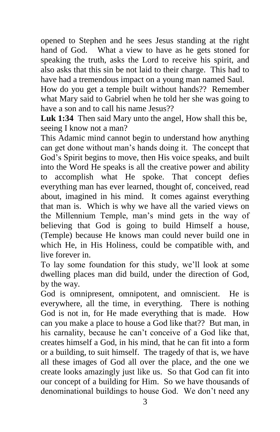opened to Stephen and he sees Jesus standing at the right hand of God. What a view to have as he gets stoned for speaking the truth, asks the Lord to receive his spirit, and also asks that this sin be not laid to their charge. This had to have had a tremendous impact on a young man named Saul.

How do you get a temple built without hands?? Remember what Mary said to Gabriel when he told her she was going to have a son and to call his name Jesus??

**Luk 1:34** Then said Mary unto the angel, How shall this be, seeing I know not a man?

This Adamic mind cannot begin to understand how anything can get done without man's hands doing it. The concept that God's Spirit begins to move, then His voice speaks, and built into the Word He speaks is all the creative power and ability to accomplish what He spoke. That concept defies everything man has ever learned, thought of, conceived, read about, imagined in his mind. It comes against everything that man is. Which is why we have all the varied views on the Millennium Temple, man's mind gets in the way of believing that God is going to build Himself a house, (Temple) because He knows man could never build one in which He, in His Holiness, could be compatible with, and live forever in.

To lay some foundation for this study, we'll look at some dwelling places man did build, under the direction of God, by the way.

God is omnipresent, omnipotent, and omniscient. He is everywhere, all the time, in everything. There is nothing God is not in, for He made everything that is made. How can you make a place to house a God like that?? But man, in his carnality, because he can't conceive of a God like that, creates himself a God, in his mind, that he can fit into a form or a building, to suit himself. The tragedy of that is, we have all these images of God all over the place, and the one we create looks amazingly just like us. So that God can fit into our concept of a building for Him. So we have thousands of denominational buildings to house God. We don't need any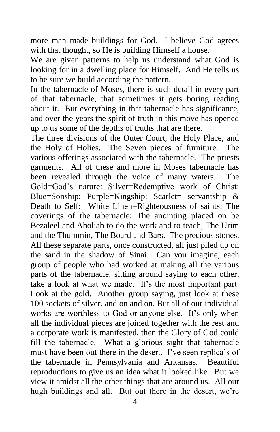more man made buildings for God. I believe God agrees with that thought, so He is building Himself a house.

We are given patterns to help us understand what God is looking for in a dwelling place for Himself. And He tells us to be sure we build according the pattern.

In the tabernacle of Moses, there is such detail in every part of that tabernacle, that sometimes it gets boring reading about it. But everything in that tabernacle has significance, and over the years the spirit of truth in this move has opened up to us some of the depths of truths that are there.

The three divisions of the Outer Court, the Holy Place, and the Holy of Holies. The Seven pieces of furniture. The various offerings associated with the tabernacle. The priests garments. All of these and more in Moses tabernacle has been revealed through the voice of many waters. The Gold=God's nature: Silver=Redemptive work of Christ: Blue=Sonship: Purple=Kingship: Scarlet= servantship & Death to Self: White Linen=Righteousness of saints: The coverings of the tabernacle: The anointing placed on be Bezaleel and Aholiab to do the work and to teach, The Urim and the Thummin, The Board and Bars. The precious stones. All these separate parts, once constructed, all just piled up on the sand in the shadow of Sinai. Can you imagine, each group of people who had worked at making all the various parts of the tabernacle, sitting around saying to each other, take a look at what we made. It's the most important part. Look at the gold. Another group saying, just look at these 100 sockets of silver, and on and on. But all of our individual works are worthless to God or anyone else. It's only when all the individual pieces are joined together with the rest and a corporate work is manifested, then the Glory of God could fill the tabernacle. What a glorious sight that tabernacle must have been out there in the desert. I've seen replica's of the tabernacle in Pennsylvania and Arkansas. Beautiful reproductions to give us an idea what it looked like. But we view it amidst all the other things that are around us. All our hugh buildings and all. But out there in the desert, we're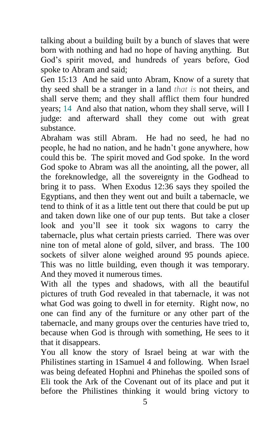talking about a building built by a bunch of slaves that were born with nothing and had no hope of having anything. But God's spirit moved, and hundreds of years before, God spoke to Abram and said;

Gen 15:13 And he said unto Abram, Know of a surety that thy seed shall be a stranger in a land *that is* not theirs, and shall serve them; and they shall afflict them four hundred years; 14 And also that nation, whom they shall serve, will I judge: and afterward shall they come out with great substance.

Abraham was still Abram. He had no seed, he had no people, he had no nation, and he hadn't gone anywhere, how could this be. The spirit moved and God spoke. In the word God spoke to Abram was all the anointing, all the power, all the foreknowledge, all the sovereignty in the Godhead to bring it to pass. When Exodus 12:36 says they spoiled the Egyptians, and then they went out and built a tabernacle, we tend to think of it as a little tent out there that could be put up and taken down like one of our pup tents. But take a closer look and you'll see it took six wagons to carry the tabernacle, plus what certain priests carried. There was over nine ton of metal alone of gold, silver, and brass. The 100 sockets of silver alone weighed around 95 pounds apiece. This was no little building, even though it was temporary. And they moved it numerous times.

With all the types and shadows, with all the beautiful pictures of truth God revealed in that tabernacle, it was not what God was going to dwell in for eternity. Right now, no one can find any of the furniture or any other part of the tabernacle, and many groups over the centuries have tried to, because when God is through with something, He sees to it that it disappears.

You all know the story of Israel being at war with the Philistines starting in 1Samuel 4 and following. When Israel was being defeated Hophni and Phinehas the spoiled sons of Eli took the Ark of the Covenant out of its place and put it before the Philistines thinking it would bring victory to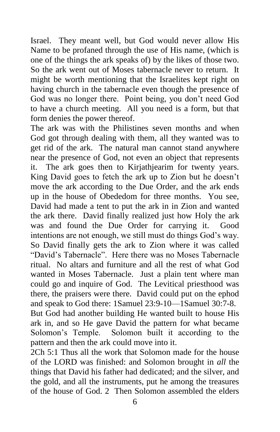Israel. They meant well, but God would never allow His Name to be profaned through the use of His name, (which is one of the things the ark speaks of) by the likes of those two. So the ark went out of Moses tabernacle never to return. It might be worth mentioning that the Israelites kept right on having church in the tabernacle even though the presence of God was no longer there. Point being, you don't need God to have a church meeting. All you need is a form, but that form denies the power thereof.

The ark was with the Philistines seven months and when God got through dealing with them, all they wanted was to get rid of the ark. The natural man cannot stand anywhere near the presence of God, not even an object that represents it. The ark goes then to Kirjathjearim for twenty years. King David goes to fetch the ark up to Zion but he doesn't move the ark according to the Due Order, and the ark ends up in the house of Obededom for three months. You see, David had made a tent to put the ark in in Zion and wanted the ark there. David finally realized just how Holy the ark was and found the Due Order for carrying it. Good intentions are not enough, we still must do things God's way. So David finally gets the ark to Zion where it was called "David's Tabernacle". Here there was no Moses Tabernacle ritual. No altars and furniture and all the rest of what God wanted in Moses Tabernacle. Just a plain tent where man could go and inquire of God. The Levitical priesthood was there, the praisers were there. David could put on the ephod and speak to God there: 1Samuel 23:9-10—1Samuel 30:7-8. But God had another building He wanted built to house His ark in, and so He gave David the pattern for what became Solomon's Temple. Solomon built it according to the pattern and then the ark could move into it.

2Ch 5:1 Thus all the work that Solomon made for the house of the LORD was finished: and Solomon brought in *all* the things that David his father had dedicated; and the silver, and the gold, and all the instruments, put he among the treasures of the house of God. 2 Then Solomon assembled the elders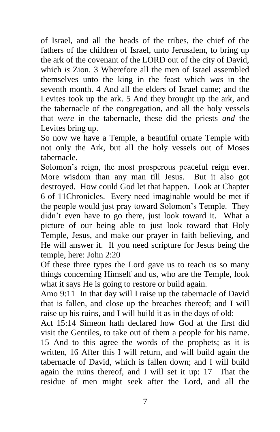of Israel, and all the heads of the tribes, the chief of the fathers of the children of Israel, unto Jerusalem, to bring up the ark of the covenant of the LORD out of the city of David, which *is* Zion. 3 Wherefore all the men of Israel assembled themselves unto the king in the feast which *was* in the seventh month. 4 And all the elders of Israel came; and the Levites took up the ark. 5 And they brought up the ark, and the tabernacle of the congregation, and all the holy vessels that *were* in the tabernacle, these did the priests *and* the Levites bring up.

So now we have a Temple, a beautiful ornate Temple with not only the Ark, but all the holy vessels out of Moses tabernacle.

Solomon's reign, the most prosperous peaceful reign ever. More wisdom than any man till Jesus. But it also got destroyed. How could God let that happen. Look at Chapter 6 of 11Chronicles. Every need imaginable would be met if the people would just pray toward Solomon's Temple. They didn't even have to go there, just look toward it. What a picture of our being able to just look toward that Holy Temple, Jesus, and make our prayer in faith believing, and He will answer it. If you need scripture for Jesus being the temple, here: John 2:20

Of these three types the Lord gave us to teach us so many things concerning Himself and us, who are the Temple, look what it says He is going to restore or build again.

Amo 9:11 In that day will I raise up the tabernacle of David that is fallen, and close up the breaches thereof; and I will raise up his ruins, and I will build it as in the days of old:

Act 15:14 Simeon hath declared how God at the first did visit the Gentiles, to take out of them a people for his name. 15 And to this agree the words of the prophets; as it is written, 16 After this I will return, and will build again the tabernacle of David, which is fallen down; and I will build again the ruins thereof, and I will set it up: 17 That the residue of men might seek after the Lord, and all the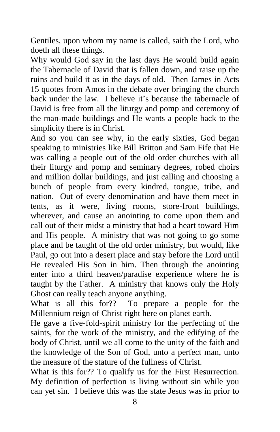Gentiles, upon whom my name is called, saith the Lord, who doeth all these things.

Why would God say in the last days He would build again the Tabernacle of David that is fallen down, and raise up the ruins and build it as in the days of old. Then James in Acts 15 quotes from Amos in the debate over bringing the church back under the law. I believe it's because the tabernacle of David is free from all the liturgy and pomp and ceremony of the man-made buildings and He wants a people back to the simplicity there is in Christ.

And so you can see why, in the early sixties, God began speaking to ministries like Bill Britton and Sam Fife that He was calling a people out of the old order churches with all their liturgy and pomp and seminary degrees, robed choirs and million dollar buildings, and just calling and choosing a bunch of people from every kindred, tongue, tribe, and nation. Out of every denomination and have them meet in tents, as it were, living rooms, store-front buildings, wherever, and cause an anointing to come upon them and call out of their midst a ministry that had a heart toward Him and His people. A ministry that was not going to go some place and be taught of the old order ministry, but would, like Paul, go out into a desert place and stay before the Lord until He revealed His Son in him. Then through the anointing enter into a third heaven/paradise experience where he is taught by the Father. A ministry that knows only the Holy Ghost can really teach anyone anything.

What is all this for?? To prepare a people for the Millennium reign of Christ right here on planet earth.

He gave a five-fold-spirit ministry for the perfecting of the saints, for the work of the ministry, and the edifying of the body of Christ, until we all come to the unity of the faith and the knowledge of the Son of God, unto a perfect man, unto the measure of the stature of the fullness of Christ.

What is this for?? To qualify us for the First Resurrection. My definition of perfection is living without sin while you can yet sin. I believe this was the state Jesus was in prior to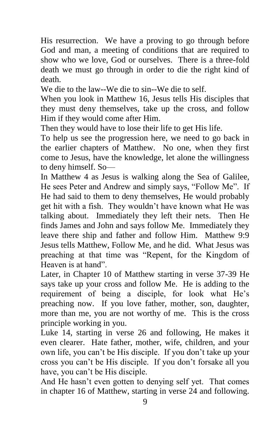His resurrection. We have a proving to go through before God and man, a meeting of conditions that are required to show who we love, God or ourselves. There is a three-fold death we must go through in order to die the right kind of death.

We die to the law--We die to sin--We die to self.

When you look in Matthew 16, Jesus tells His disciples that they must deny themselves, take up the cross, and follow Him if they would come after Him.

Then they would have to lose their life to get His life.

To help us see the progression here, we need to go back in the earlier chapters of Matthew. No one, when they first come to Jesus, have the knowledge, let alone the willingness to deny himself. So—

In Matthew 4 as Jesus is walking along the Sea of Galilee, He sees Peter and Andrew and simply says, "Follow Me". If He had said to them to deny themselves, He would probably get hit with a fish. They wouldn't have known what He was talking about. Immediately they left their nets. Then He finds James and John and says follow Me. Immediately they leave there ship and father and follow Him. Matthew 9:9 Jesus tells Matthew, Follow Me, and he did. What Jesus was preaching at that time was "Repent, for the Kingdom of Heaven is at hand".

Later, in Chapter 10 of Matthew starting in verse 37-39 He says take up your cross and follow Me. He is adding to the requirement of being a disciple, for look what He's preaching now. If you love father, mother, son, daughter, more than me, you are not worthy of me. This is the cross principle working in you.

Luke 14, starting in verse 26 and following, He makes it even clearer. Hate father, mother, wife, children, and your own life, you can't be His disciple. If you don't take up your cross you can't be His disciple. If you don't forsake all you have, you can't be His disciple.

And He hasn't even gotten to denying self yet. That comes in chapter 16 of Matthew, starting in verse 24 and following.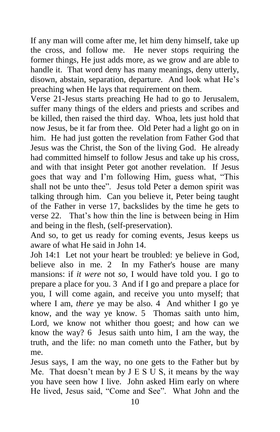If any man will come after me, let him deny himself, take up the cross, and follow me. He never stops requiring the former things, He just adds more, as we grow and are able to handle it. That word deny has many meanings, deny utterly, disown, abstain, separation, departure. And look what He's preaching when He lays that requirement on them.

Verse 21-Jesus starts preaching He had to go to Jerusalem, suffer many things of the elders and priests and scribes and be killed, then raised the third day. Whoa, lets just hold that now Jesus, be it far from thee. Old Peter had a light go on in him. He had just gotten the revelation from Father God that Jesus was the Christ, the Son of the living God. He already had committed himself to follow Jesus and take up his cross, and with that insight Peter got another revelation. If Jesus goes that way and I'm following Him, guess what, "This shall not be unto thee". Jesus told Peter a demon spirit was talking through him. Can you believe it, Peter being taught of the Father in verse 17, backslides by the time he gets to verse 22. That's how thin the line is between being in Him and being in the flesh, (self-preservation).

And so, to get us ready for coming events, Jesus keeps us aware of what He said in John 14.

Joh 14:1 Let not your heart be troubled: ye believe in God, believe also in me. 2 In my Father's house are many mansions: if *it were* not *so,* I would have told you. I go to prepare a place for you. 3 And if I go and prepare a place for you, I will come again, and receive you unto myself; that where I am, *there* ye may be also. 4 And whither I go ye know, and the way ye know. 5 Thomas saith unto him, Lord, we know not whither thou goest; and how can we know the way? 6 Jesus saith unto him, I am the way, the truth, and the life: no man cometh unto the Father, but by me.

Jesus says, I am the way, no one gets to the Father but by Me. That doesn't mean by  $J E S U S$ , it means by the way you have seen how I live. John asked Him early on where He lived, Jesus said, "Come and See". What John and the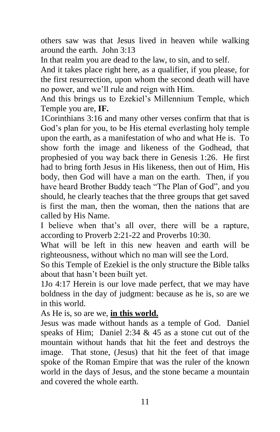others saw was that Jesus lived in heaven while walking around the earth. John 3:13

In that realm you are dead to the law, to sin, and to self.

And it takes place right here, as a qualifier, if you please, for the first resurrection, upon whom the second death will have no power, and we'll rule and reign with Him.

And this brings us to Ezekiel's Millennium Temple, which Temple you are, **IF.**

1Corinthians 3:16 and many other verses confirm that that is God's plan for you, to be His eternal everlasting holy temple upon the earth, as a manifestation of who and what He is. To show forth the image and likeness of the Godhead, that prophesied of you way back there in Genesis 1:26. He first had to bring forth Jesus in His likeness, then out of Him, His body, then God will have a man on the earth. Then, if you have heard Brother Buddy teach "The Plan of God", and you should, he clearly teaches that the three groups that get saved is first the man, then the woman, then the nations that are called by His Name.

I believe when that's all over, there will be a rapture, according to Proverb 2:21-22 and Proverbs 10:30.

What will be left in this new heaven and earth will be righteousness, without which no man will see the Lord.

So this Temple of Ezekiel is the only structure the Bible talks about that hasn't been built yet.

1Jo 4:17 Herein is our love made perfect, that we may have boldness in the day of judgment: because as he is, so are we in this world.

As He is, so are we, **in this world.**

Jesus was made without hands as a temple of God. Daniel speaks of Him; Daniel 2:34  $& 45$  as a stone cut out of the mountain without hands that hit the feet and destroys the image. That stone, (Jesus) that hit the feet of that image spoke of the Roman Empire that was the ruler of the known world in the days of Jesus, and the stone became a mountain and covered the whole earth.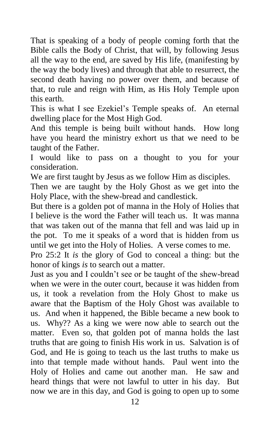That is speaking of a body of people coming forth that the Bible calls the Body of Christ, that will, by following Jesus all the way to the end, are saved by His life, (manifesting by the way the body lives) and through that able to resurrect, the second death having no power over them, and because of that, to rule and reign with Him, as His Holy Temple upon this earth.

This is what I see Ezekiel's Temple speaks of. An eternal dwelling place for the Most High God.

And this temple is being built without hands. How long have you heard the ministry exhort us that we need to be taught of the Father.

I would like to pass on a thought to you for your consideration.

We are first taught by Jesus as we follow Him as disciples.

Then we are taught by the Holy Ghost as we get into the Holy Place, with the shew-bread and candlestick.

But there is a golden pot of manna in the Holy of Holies that I believe is the word the Father will teach us. It was manna that was taken out of the manna that fell and was laid up in the pot. To me it speaks of a word that is hidden from us until we get into the Holy of Holies. A verse comes to me.

Pro 25:2 It *is* the glory of God to conceal a thing: but the honor of kings *is* to search out a matter.

Just as you and I couldn't see or be taught of the shew-bread when we were in the outer court, because it was hidden from us, it took a revelation from the Holy Ghost to make us aware that the Baptism of the Holy Ghost was available to us. And when it happened, the Bible became a new book to us. Why?? As a king we were now able to search out the matter. Even so, that golden pot of manna holds the last truths that are going to finish His work in us. Salvation is of God, and He is going to teach us the last truths to make us into that temple made without hands. Paul went into the Holy of Holies and came out another man. He saw and heard things that were not lawful to utter in his day. But now we are in this day, and God is going to open up to some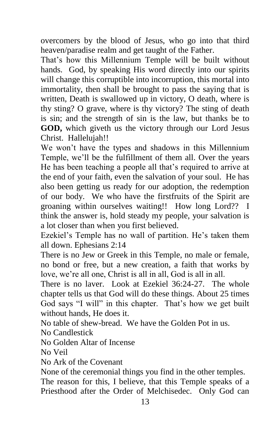overcomers by the blood of Jesus, who go into that third heaven/paradise realm and get taught of the Father.

That's how this Millennium Temple will be built without hands. God, by speaking His word directly into our spirits will change this corruptible into incorruption, this mortal into immortality, then shall be brought to pass the saying that is written, Death is swallowed up in victory, O death, where is thy sting? O grave, where is thy victory? The sting of death is sin; and the strength of sin is the law, but thanks be to **GOD,** which giveth us the victory through our Lord Jesus Christ. Hallelujah!!

We won't have the types and shadows in this Millennium Temple, we'll be the fulfillment of them all. Over the years He has been teaching a people all that's required to arrive at the end of your faith, even the salvation of your soul. He has also been getting us ready for our adoption, the redemption of our body. We who have the firstfruits of the Spirit are groaning within ourselves waiting!! How long Lord?? I think the answer is, hold steady my people, your salvation is a lot closer than when you first believed.

Ezekiel's Temple has no wall of partition. He's taken them all down. Ephesians 2:14

There is no Jew or Greek in this Temple, no male or female, no bond or free, but a new creation, a faith that works by love, we're all one, Christ is all in all, God is all in all.

There is no laver. Look at Ezekiel 36:24-27. The whole chapter tells us that God will do these things. About 25 times God says "I will" in this chapter. That's how we get built without hands, He does it.

No table of shew-bread. We have the Golden Pot in us.

No Candlestick

No Golden Altar of Incense

No Veil

No Ark of the Covenant

None of the ceremonial things you find in the other temples.

The reason for this, I believe, that this Temple speaks of a Priesthood after the Order of Melchisedec. Only God can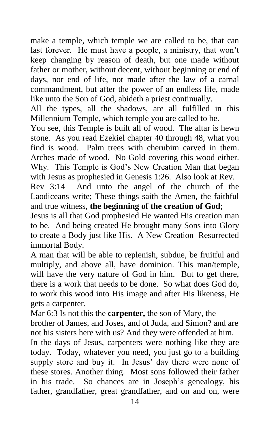make a temple, which temple we are called to be, that can last forever. He must have a people, a ministry, that won't keep changing by reason of death, but one made without father or mother, without decent, without beginning or end of days, nor end of life, not made after the law of a carnal commandment, but after the power of an endless life, made like unto the Son of God, abideth a priest continually.

All the types, all the shadows, are all fulfilled in this Millennium Temple, which temple you are called to be.

You see, this Temple is built all of wood. The altar is hewn stone. As you read Ezekiel chapter 40 through 48, what you find is wood. Palm trees with cherubim carved in them. Arches made of wood. No Gold covering this wood either. Why. This Temple is God's New Creation Man that began with Jesus as prophesied in Genesis 1:26. Also look at Rev.

Rev 3:14 And unto the angel of the church of the Laodiceans write; These things saith the Amen, the faithful and true witness, **the beginning of the creation of God**;

Jesus is all that God prophesied He wanted His creation man to be. And being created He brought many Sons into Glory to create a Body just like His. A New Creation Resurrected immortal Body.

A man that will be able to replenish, subdue, be fruitful and multiply, and above all, have dominion. This man/temple, will have the very nature of God in him. But to get there, there is a work that needs to be done. So what does God do, to work this wood into His image and after His likeness, He gets a carpenter.

Mar 6:3 Is not this the **carpenter,** the son of Mary, the brother of James, and Joses, and of Juda, and Simon? and are not his sisters here with us? And they were offended at him.

In the days of Jesus, carpenters were nothing like they are today. Today, whatever you need, you just go to a building supply store and buy it. In Jesus' day there were none of these stores. Another thing. Most sons followed their father in his trade. So chances are in Joseph's genealogy, his father, grandfather, great grandfather, and on and on, were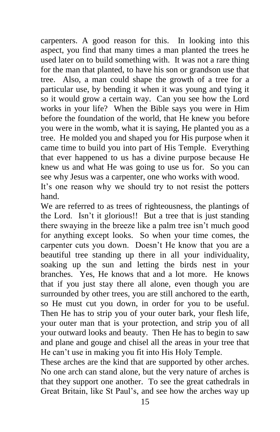carpenters. A good reason for this. In looking into this aspect, you find that many times a man planted the trees he used later on to build something with. It was not a rare thing for the man that planted, to have his son or grandson use that tree. Also, a man could shape the growth of a tree for a particular use, by bending it when it was young and tying it so it would grow a certain way. Can you see how the Lord works in your life? When the Bible says you were in Him before the foundation of the world, that He knew you before you were in the womb, what it is saying, He planted you as a tree. He molded you and shaped you for His purpose when it came time to build you into part of His Temple. Everything that ever happened to us has a divine purpose because He knew us and what He was going to use us for. So you can see why Jesus was a carpenter, one who works with wood.

It's one reason why we should try to not resist the potters hand.

We are referred to as trees of righteousness, the plantings of the Lord. Isn't it glorious!! But a tree that is just standing there swaying in the breeze like a palm tree isn't much good for anything except looks. So when your time comes, the carpenter cuts you down. Doesn't He know that you are a beautiful tree standing up there in all your individuality, soaking up the sun and letting the birds nest in your branches. Yes, He knows that and a lot more. He knows that if you just stay there all alone, even though you are surrounded by other trees, you are still anchored to the earth, so He must cut you down, in order for you to be useful. Then He has to strip you of your outer bark, your flesh life, your outer man that is your protection, and strip you of all your outward looks and beauty. Then He has to begin to saw and plane and gouge and chisel all the areas in your tree that He can't use in making you fit into His Holy Temple.

These arches are the kind that are supported by other arches. No one arch can stand alone, but the very nature of arches is that they support one another. To see the great cathedrals in Great Britain, like St Paul's, and see how the arches way up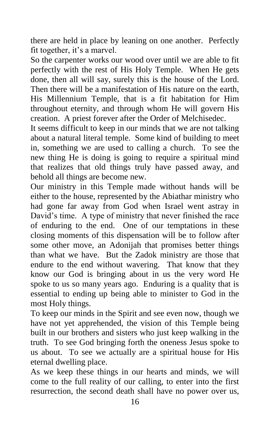there are held in place by leaning on one another. Perfectly fit together, it's a marvel.

So the carpenter works our wood over until we are able to fit perfectly with the rest of His Holy Temple. When He gets done, then all will say, surely this is the house of the Lord. Then there will be a manifestation of His nature on the earth, His Millennium Temple, that is a fit habitation for Him throughout eternity, and through whom He will govern His creation. A priest forever after the Order of Melchisedec.

It seems difficult to keep in our minds that we are not talking about a natural literal temple. Some kind of building to meet in, something we are used to calling a church. To see the new thing He is doing is going to require a spiritual mind that realizes that old things truly have passed away, and behold all things are become new.

Our ministry in this Temple made without hands will be either to the house, represented by the Abiathar ministry who had gone far away from God when Israel went astray in David's time. A type of ministry that never finished the race of enduring to the end. One of our temptations in these closing moments of this dispensation will be to follow after some other move, an Adonijah that promises better things than what we have. But the Zadok ministry are those that endure to the end without wavering. That know that they know our God is bringing about in us the very word He spoke to us so many years ago. Enduring is a quality that is essential to ending up being able to minister to God in the most Holy things.

To keep our minds in the Spirit and see even now, though we have not yet apprehended, the vision of this Temple being built in our brothers and sisters who just keep walking in the truth. To see God bringing forth the oneness Jesus spoke to us about. To see we actually are a spiritual house for His eternal dwelling place.

As we keep these things in our hearts and minds, we will come to the full reality of our calling, to enter into the first resurrection, the second death shall have no power over us,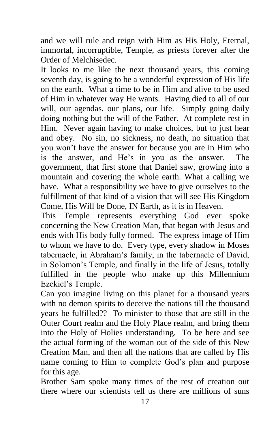and we will rule and reign with Him as His Holy, Eternal, immortal, incorruptible, Temple, as priests forever after the Order of Melchisedec.

It looks to me like the next thousand years, this coming seventh day, is going to be a wonderful expression of His life on the earth. What a time to be in Him and alive to be used of Him in whatever way He wants. Having died to all of our will, our agendas, our plans, our life. Simply going daily doing nothing but the will of the Father. At complete rest in Him. Never again having to make choices, but to just hear and obey. No sin, no sickness, no death, no situation that you won't have the answer for because you are in Him who is the answer, and He's in you as the answer. The government, that first stone that Daniel saw, growing into a mountain and covering the whole earth. What a calling we have. What a responsibility we have to give ourselves to the fulfillment of that kind of a vision that will see His Kingdom Come, His Will be Done, IN Earth, as it is in Heaven.

This Temple represents everything God ever spoke concerning the New Creation Man, that began with Jesus and ends with His body fully formed. The express image of Him to whom we have to do. Every type, every shadow in Moses tabernacle, in Abraham's family, in the tabernacle of David, in Solomon's Temple, and finally in the life of Jesus, totally fulfilled in the people who make up this Millennium Ezekiel's Temple.

Can you imagine living on this planet for a thousand years with no demon spirits to deceive the nations till the thousand years be fulfilled?? To minister to those that are still in the Outer Court realm and the Holy Place realm, and bring them into the Holy of Holies understanding. To be here and see the actual forming of the woman out of the side of this New Creation Man, and then all the nations that are called by His name coming to Him to complete God's plan and purpose for this age.

Brother Sam spoke many times of the rest of creation out there where our scientists tell us there are millions of suns